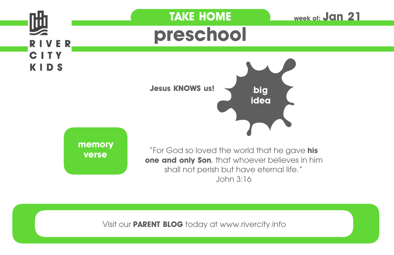

Visit our **PARENT BLOG** today at www.rivercity.info